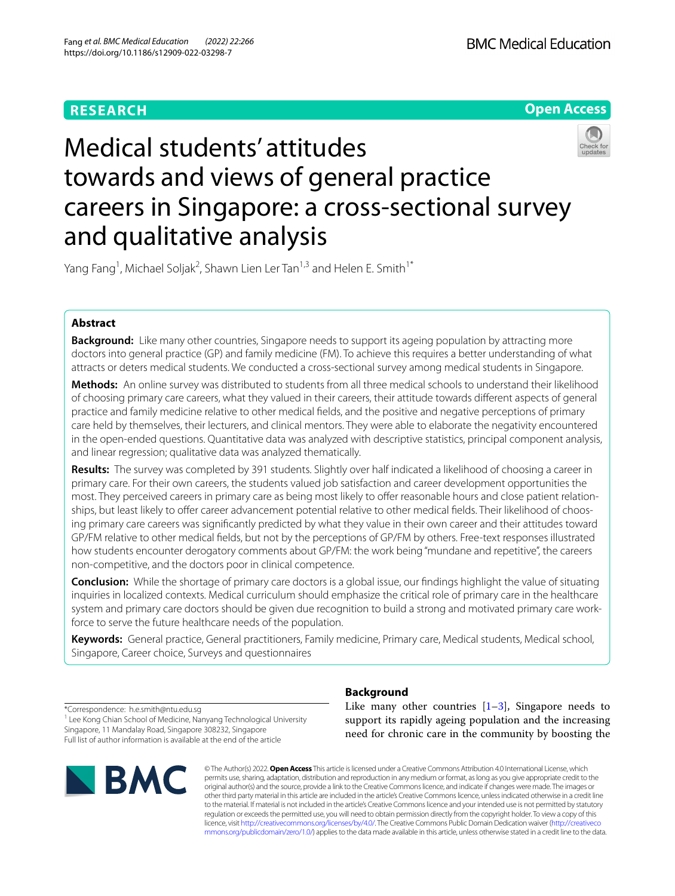# **RESEARCH**



# Medical students' attitudes towards and views of general practice careers in Singapore: a cross-sectional survey and qualitative analysis

Yang Fang<sup>1</sup>, Michael Soljak<sup>2</sup>, Shawn Lien Ler Tan<sup>1,3</sup> and Helen E. Smith<sup>1\*</sup>

# **Abstract**

**Background:** Like many other countries, Singapore needs to support its ageing population by attracting more doctors into general practice (GP) and family medicine (FM). To achieve this requires a better understanding of what attracts or deters medical students. We conducted a cross-sectional survey among medical students in Singapore.

**Methods:** An online survey was distributed to students from all three medical schools to understand their likelihood of choosing primary care careers, what they valued in their careers, their attitude towards diferent aspects of general practice and family medicine relative to other medical felds, and the positive and negative perceptions of primary care held by themselves, their lecturers, and clinical mentors. They were able to elaborate the negativity encountered in the open-ended questions. Quantitative data was analyzed with descriptive statistics, principal component analysis, and linear regression; qualitative data was analyzed thematically.

**Results:** The survey was completed by 391 students. Slightly over half indicated a likelihood of choosing a career in primary care. For their own careers, the students valued job satisfaction and career development opportunities the most. They perceived careers in primary care as being most likely to offer reasonable hours and close patient relationships, but least likely to offer career advancement potential relative to other medical fields. Their likelihood of choosing primary care careers was signifcantly predicted by what they value in their own career and their attitudes toward GP/FM relative to other medical felds, but not by the perceptions of GP/FM by others. Free-text responses illustrated how students encounter derogatory comments about GP/FM: the work being "mundane and repetitive", the careers non-competitive, and the doctors poor in clinical competence.

**Conclusion:** While the shortage of primary care doctors is a global issue, our fndings highlight the value of situating inquiries in localized contexts. Medical curriculum should emphasize the critical role of primary care in the healthcare system and primary care doctors should be given due recognition to build a strong and motivated primary care workforce to serve the future healthcare needs of the population.

**Keywords:** General practice, General practitioners, Family medicine, Primary care, Medical students, Medical school, Singapore, Career choice, Surveys and questionnaires

\*Correspondence: h.e.smith@ntu.edu.sg <sup>1</sup> Lee Kong Chian School of Medicine, Nanyang Technological University Singapore, 11 Mandalay Road, Singapore 308232, Singapore Full list of author information is available at the end of the article



# **Background**

Like many other countries  $[1-3]$  $[1-3]$ , Singapore needs to support its rapidly ageing population and the increasing need for chronic care in the community by boosting the

© The Author(s) 2022. **Open Access** This article is licensed under a Creative Commons Attribution 4.0 International License, which permits use, sharing, adaptation, distribution and reproduction in any medium or format, as long as you give appropriate credit to the original author(s) and the source, provide a link to the Creative Commons licence, and indicate if changes were made. The images or other third party material in this article are included in the article's Creative Commons licence, unless indicated otherwise in a credit line to the material. If material is not included in the article's Creative Commons licence and your intended use is not permitted by statutory regulation or exceeds the permitted use, you will need to obtain permission directly from the copyright holder. To view a copy of this licence, visit [http://creativecommons.org/licenses/by/4.0/.](http://creativecommons.org/licenses/by/4.0/) The Creative Commons Public Domain Dedication waiver ([http://creativeco](http://creativecommons.org/publicdomain/zero/1.0/) [mmons.org/publicdomain/zero/1.0/](http://creativecommons.org/publicdomain/zero/1.0/)) applies to the data made available in this article, unless otherwise stated in a credit line to the data.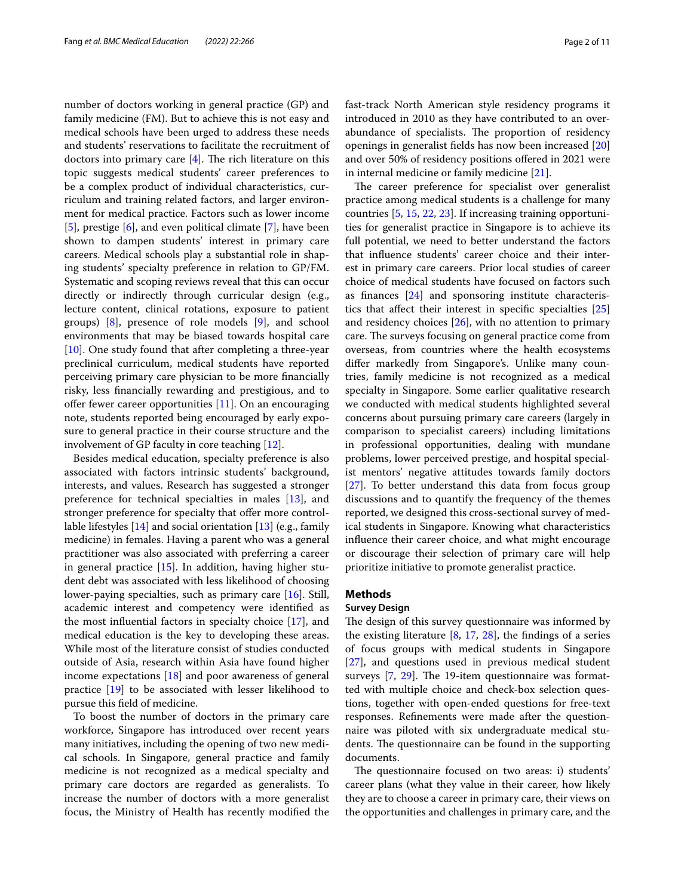number of doctors working in general practice (GP) and family medicine (FM). But to achieve this is not easy and medical schools have been urged to address these needs and students' reservations to facilitate the recruitment of doctors into primary care  $[4]$  $[4]$ . The rich literature on this topic suggests medical students' career preferences to be a complex product of individual characteristics, curriculum and training related factors, and larger environment for medical practice. Factors such as lower income [[5\]](#page-8-3), prestige [\[6](#page-8-4)], and even political climate [\[7](#page-8-5)], have been shown to dampen students' interest in primary care careers. Medical schools play a substantial role in shaping students' specialty preference in relation to GP/FM. Systematic and scoping reviews reveal that this can occur directly or indirectly through curricular design (e.g., lecture content, clinical rotations, exposure to patient groups) [[8\]](#page-8-6), presence of role models [\[9](#page-9-0)], and school environments that may be biased towards hospital care [[10\]](#page-9-1). One study found that after completing a three-year preclinical curriculum, medical students have reported perceiving primary care physician to be more fnancially risky, less fnancially rewarding and prestigious, and to offer fewer career opportunities  $[11]$  $[11]$  $[11]$ . On an encouraging note, students reported being encouraged by early exposure to general practice in their course structure and the involvement of GP faculty in core teaching [[12](#page-9-3)].

Besides medical education, specialty preference is also associated with factors intrinsic students' background, interests, and values. Research has suggested a stronger preference for technical specialties in males [\[13](#page-9-4)], and stronger preference for specialty that offer more controllable lifestyles [[14\]](#page-9-5) and social orientation [\[13](#page-9-4)] (e.g., family medicine) in females. Having a parent who was a general practitioner was also associated with preferring a career in general practice [[15\]](#page-9-6). In addition, having higher student debt was associated with less likelihood of choosing lower-paying specialties, such as primary care [[16\]](#page-9-7). Still, academic interest and competency were identifed as the most infuential factors in specialty choice [[17\]](#page-9-8), and medical education is the key to developing these areas. While most of the literature consist of studies conducted outside of Asia, research within Asia have found higher income expectations [[18\]](#page-9-9) and poor awareness of general practice [[19\]](#page-9-10) to be associated with lesser likelihood to pursue this feld of medicine.

To boost the number of doctors in the primary care workforce, Singapore has introduced over recent years many initiatives, including the opening of two new medical schools. In Singapore, general practice and family medicine is not recognized as a medical specialty and primary care doctors are regarded as generalists. To increase the number of doctors with a more generalist focus, the Ministry of Health has recently modifed the fast-track North American style residency programs it introduced in 2010 as they have contributed to an overabundance of specialists. The proportion of residency openings in generalist felds has now been increased [[20](#page-9-11)] and over 50% of residency positions ofered in 2021 were in internal medicine or family medicine [[21](#page-9-12)].

The career preference for specialist over generalist practice among medical students is a challenge for many countries [[5,](#page-8-3) [15](#page-9-6), [22,](#page-9-13) [23](#page-9-14)]. If increasing training opportunities for generalist practice in Singapore is to achieve its full potential, we need to better understand the factors that infuence students' career choice and their interest in primary care careers. Prior local studies of career choice of medical students have focused on factors such as fnances [[24](#page-9-15)] and sponsoring institute characteristics that afect their interest in specifc specialties [[25](#page-9-16)] and residency choices [\[26](#page-9-17)], with no attention to primary care. The surveys focusing on general practice come from overseas, from countries where the health ecosystems difer markedly from Singapore's. Unlike many countries, family medicine is not recognized as a medical specialty in Singapore. Some earlier qualitative research we conducted with medical students highlighted several concerns about pursuing primary care careers (largely in comparison to specialist careers) including limitations in professional opportunities, dealing with mundane problems, lower perceived prestige, and hospital specialist mentors' negative attitudes towards family doctors [[27\]](#page-9-18). To better understand this data from focus group discussions and to quantify the frequency of the themes reported, we designed this cross-sectional survey of medical students in Singapore. Knowing what characteristics infuence their career choice, and what might encourage or discourage their selection of primary care will help prioritize initiative to promote generalist practice.

# **Methods**

#### **Survey Design**

The design of this survey questionnaire was informed by the existing literature  $[8, 17, 28]$  $[8, 17, 28]$  $[8, 17, 28]$  $[8, 17, 28]$  $[8, 17, 28]$  $[8, 17, 28]$  $[8, 17, 28]$ , the findings of a series of focus groups with medical students in Singapore [[27\]](#page-9-18), and questions used in previous medical student surveys  $[7, 29]$  $[7, 29]$  $[7, 29]$  $[7, 29]$ . The 19-item questionnaire was formatted with multiple choice and check-box selection questions, together with open-ended questions for free-text responses. Refnements were made after the questionnaire was piloted with six undergraduate medical students. The questionnaire can be found in the supporting documents.

The questionnaire focused on two areas: i) students' career plans (what they value in their career, how likely they are to choose a career in primary care, their views on the opportunities and challenges in primary care, and the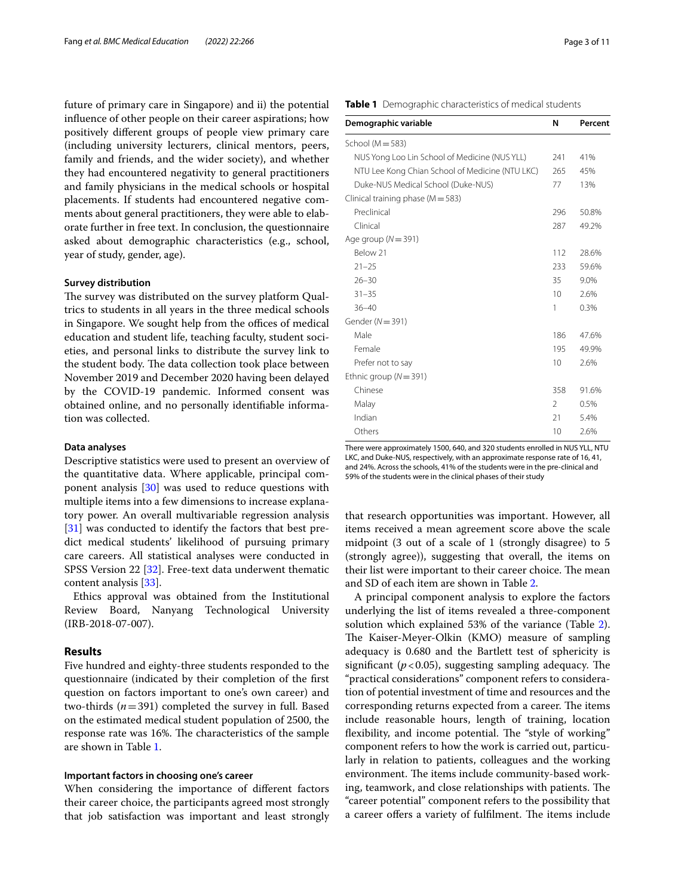future of primary care in Singapore) and ii) the potential infuence of other people on their career aspirations; how positively diferent groups of people view primary care (including university lecturers, clinical mentors, peers, family and friends, and the wider society), and whether they had encountered negativity to general practitioners and family physicians in the medical schools or hospital placements. If students had encountered negative comments about general practitioners, they were able to elaborate further in free text. In conclusion, the questionnaire asked about demographic characteristics (e.g., school, year of study, gender, age).

#### **Survey distribution**

The survey was distributed on the survey platform Qualtrics to students in all years in the three medical schools in Singapore. We sought help from the offices of medical education and student life, teaching faculty, student societies, and personal links to distribute the survey link to the student body. The data collection took place between November 2019 and December 2020 having been delayed by the COVID-19 pandemic. Informed consent was obtained online, and no personally identifable information was collected.

#### **Data analyses**

Descriptive statistics were used to present an overview of the quantitative data. Where applicable, principal component analysis [[30\]](#page-9-21) was used to reduce questions with multiple items into a few dimensions to increase explanatory power. An overall multivariable regression analysis [[31\]](#page-9-22) was conducted to identify the factors that best predict medical students' likelihood of pursuing primary care careers. All statistical analyses were conducted in SPSS Version 22 [[32](#page-9-23)]. Free-text data underwent thematic content analysis [\[33](#page-9-24)].

Ethics approval was obtained from the Institutional Review Board, Nanyang Technological University (IRB-2018-07-007).

#### **Results**

Five hundred and eighty-three students responded to the questionnaire (indicated by their completion of the frst question on factors important to one's own career) and two-thirds (*n*=391) completed the survey in full. Based on the estimated medical student population of 2500, the response rate was 16%. The characteristics of the sample are shown in Table [1.](#page-2-0)

#### **Important factors in choosing one's career**

When considering the importance of diferent factors their career choice, the participants agreed most strongly that job satisfaction was important and least strongly <span id="page-2-0"></span>**Table 1** Demographic characteristics of medical students

| Demographic variable                            | N              | Percent |
|-------------------------------------------------|----------------|---------|
| School ( $M = 583$ )                            |                |         |
| NUS Yong Loo Lin School of Medicine (NUS YLL)   | 241            | 41%     |
| NTU Lee Kong Chian School of Medicine (NTU LKC) | 265            | 45%     |
| Duke-NUS Medical School (Duke-NUS)              | 77             | 13%     |
| Clinical training phase ( $M = 583$ )           |                |         |
| Preclinical                                     | 296            | 50.8%   |
| Clinical                                        | 287            | 49.2%   |
| Age group $(N = 391)$                           |                |         |
| Below 21                                        | 112            | 28.6%   |
| $21 - 25$                                       | 233            | 59.6%   |
| $26 - 30$                                       | 35             | 9.0%    |
| $31 - 35$                                       | 10             | 2.6%    |
| $36 - 40$                                       | 1              | 0.3%    |
| Gender ( $N = 391$ )                            |                |         |
| Male                                            | 186            | 47.6%   |
| Female                                          | 195            | 49.9%   |
| Prefer not to say                               | 10             | 2.6%    |
| Ethnic group ( $N = 391$ )                      |                |         |
| Chinese                                         | 358            | 91.6%   |
| Malay                                           | $\mathfrak{D}$ | 0.5%    |
| Indian                                          | 21             | 5.4%    |
| Others                                          | 10             | 2.6%    |

There were approximately 1500, 640, and 320 students enrolled in NUS YLL, NTU LKC, and Duke-NUS, respectively, with an approximate response rate of 16, 41, and 24%. Across the schools, 41% of the students were in the pre-clinical and 59% of the students were in the clinical phases of their study

that research opportunities was important. However, all items received a mean agreement score above the scale midpoint (3 out of a scale of 1 (strongly disagree) to 5 (strongly agree)), suggesting that overall, the items on their list were important to their career choice. The mean and SD of each item are shown in Table [2.](#page-3-0)

A principal component analysis to explore the factors underlying the list of items revealed a three-component solution which explained 53% of the variance (Table [2](#page-3-0)). The Kaiser-Meyer-Olkin (KMO) measure of sampling adequacy is 0.680 and the Bartlett test of sphericity is significant ( $p < 0.05$ ), suggesting sampling adequacy. The "practical considerations" component refers to consideration of potential investment of time and resources and the corresponding returns expected from a career. The items include reasonable hours, length of training, location flexibility, and income potential. The "style of working" component refers to how the work is carried out, particularly in relation to patients, colleagues and the working environment. The items include community-based working, teamwork, and close relationships with patients. The "career potential" component refers to the possibility that a career offers a variety of fulfilment. The items include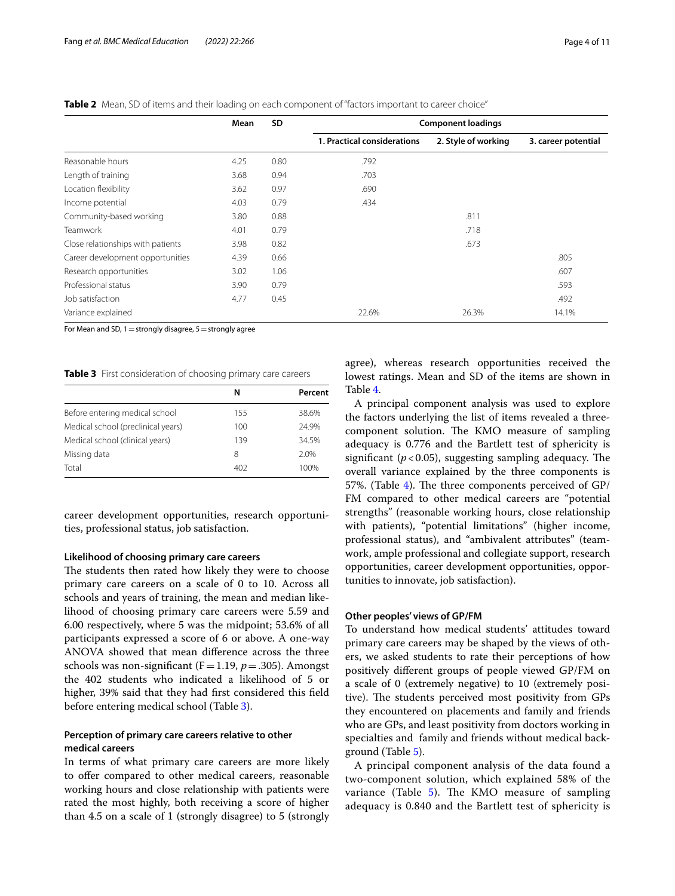<span id="page-3-0"></span>

| Table 2 Mean, SD of items and their loading on each component of "factors important to career choice" |  |
|-------------------------------------------------------------------------------------------------------|--|
|-------------------------------------------------------------------------------------------------------|--|

|                                   | Mean | <b>SD</b> |                             |                     | <b>Component loadings</b> |  |  |
|-----------------------------------|------|-----------|-----------------------------|---------------------|---------------------------|--|--|
|                                   |      |           | 1. Practical considerations | 2. Style of working | 3. career potential       |  |  |
| Reasonable hours                  | 4.25 | 0.80      | .792                        |                     |                           |  |  |
| Length of training                | 3.68 | 0.94      | .703                        |                     |                           |  |  |
| Location flexibility              | 3.62 | 0.97      | .690                        |                     |                           |  |  |
| Income potential                  | 4.03 | 0.79      | .434                        |                     |                           |  |  |
| Community-based working           | 3.80 | 0.88      |                             | .811                |                           |  |  |
| <b>Teamwork</b>                   | 4.01 | 0.79      |                             | .718                |                           |  |  |
| Close relationships with patients | 3.98 | 0.82      |                             | .673                |                           |  |  |
| Career development opportunities  | 4.39 | 0.66      |                             |                     | .805                      |  |  |
| Research opportunities            | 3.02 | 1.06      |                             |                     | .607                      |  |  |
| Professional status               | 3.90 | 0.79      |                             |                     | .593                      |  |  |
| Job satisfaction                  | 4.77 | 0.45      |                             |                     | .492                      |  |  |
| Variance explained                |      |           | 22.6%                       | 26.3%               | 14.1%                     |  |  |

For Mean and SD,  $1=$  strongly disagree,  $5=$  strongly agree

<span id="page-3-1"></span>**Table 3** First consideration of choosing primary care careers

|                                    | N   | Percent |
|------------------------------------|-----|---------|
| Before entering medical school     | 155 | 38.6%   |
| Medical school (preclinical years) | 100 | 24.9%   |
| Medical school (clinical years)    | 139 | 34.5%   |
| Missing data                       | 8   | 2.0%    |
| Total                              | 402 | 100%    |

career development opportunities, research opportunities, professional status, job satisfaction.

#### **Likelihood of choosing primary care careers**

The students then rated how likely they were to choose primary care careers on a scale of 0 to 10. Across all schools and years of training, the mean and median likelihood of choosing primary care careers were 5.59 and 6.00 respectively, where 5 was the midpoint; 53.6% of all participants expressed a score of 6 or above. A one-way ANOVA showed that mean diference across the three schools was non-significant ( $F=1.19$ ,  $p=.305$ ). Amongst the 402 students who indicated a likelihood of 5 or higher, 39% said that they had frst considered this feld before entering medical school (Table [3\)](#page-3-1).

# **Perception of primary care careers relative to other medical careers**

In terms of what primary care careers are more likely to offer compared to other medical careers, reasonable working hours and close relationship with patients were rated the most highly, both receiving a score of higher than 4.5 on a scale of 1 (strongly disagree) to 5 (strongly

agree), whereas research opportunities received the lowest ratings. Mean and SD of the items are shown in Table [4](#page-4-0).

A principal component analysis was used to explore the factors underlying the list of items revealed a threecomponent solution. The KMO measure of sampling adequacy is 0.776 and the Bartlett test of sphericity is significant  $(p<0.05)$ , suggesting sampling adequacy. The overall variance explained by the three components is 57%. (Table [4](#page-4-0)). The three components perceived of  $GP/$ FM compared to other medical careers are "potential strengths" (reasonable working hours, close relationship with patients), "potential limitations" (higher income, professional status), and "ambivalent attributes" (teamwork, ample professional and collegiate support, research opportunities, career development opportunities, opportunities to innovate, job satisfaction).

#### **Other peoples' views of GP/FM**

To understand how medical students' attitudes toward primary care careers may be shaped by the views of others, we asked students to rate their perceptions of how positively diferent groups of people viewed GP/FM on a scale of 0 (extremely negative) to 10 (extremely positive). The students perceived most positivity from GPs they encountered on placements and family and friends who are GPs, and least positivity from doctors working in specialties and family and friends without medical background (Table [5\)](#page-4-1).

A principal component analysis of the data found a two-component solution, which explained 58% of the variance (Table [5\)](#page-4-1). The KMO measure of sampling adequacy is 0.840 and the Bartlett test of sphericity is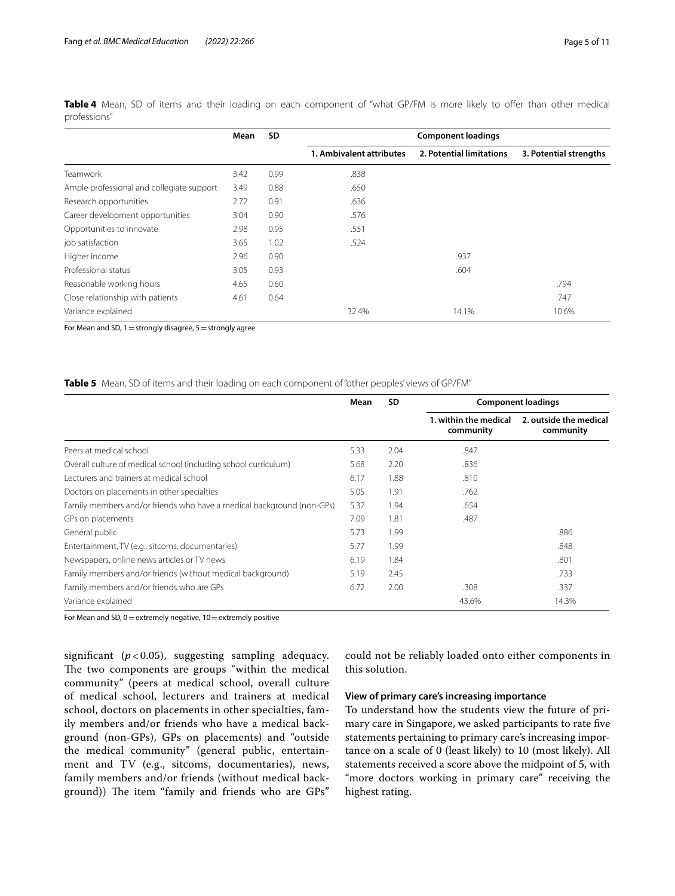|                                           | Mean | <b>SD</b> |                          | <b>Component loadings</b> |                        |
|-------------------------------------------|------|-----------|--------------------------|---------------------------|------------------------|
|                                           |      |           | 1. Ambivalent attributes | 2. Potential limitations  | 3. Potential strengths |
| <b>Teamwork</b>                           | 3.42 | 0.99      | .838                     |                           |                        |
| Ample professional and collegiate support | 3.49 | 0.88      | .650                     |                           |                        |
| Research opportunities                    | 2.72 | 0.91      | .636                     |                           |                        |
| Career development opportunities          | 3.04 | 0.90      | .576                     |                           |                        |
| Opportunities to innovate                 | 2.98 | 0.95      | .551                     |                           |                        |
| job satisfaction                          | 3.65 | 1.02      | .524                     |                           |                        |
| Higher income                             | 2.96 | 0.90      |                          | .937                      |                        |
| Professional status                       | 3.05 | 0.93      |                          | .604                      |                        |
| Reasonable working hours                  | 4.65 | 0.60      |                          |                           | .794                   |
| Close relationship with patients          | 4.61 | 0.64      |                          |                           | .747                   |
| Variance explained                        |      |           | 32.4%                    | 14.1%                     | 10.6%                  |

<span id="page-4-0"></span>**Table 4** Mean, SD of items and their loading on each component of "what GP/FM is more likely to ofer than other medical professions"

For Mean and SD,  $1=$  strongly disagree,  $5=$  strongly agree

# <span id="page-4-1"></span>**Table 5** Mean, SD of items and their loading on each component of "other peoples' views of GP/FM"

|                                                                       | Mean | <b>SD</b> | <b>Component loadings</b>          |                                     |  |  |
|-----------------------------------------------------------------------|------|-----------|------------------------------------|-------------------------------------|--|--|
|                                                                       |      |           | 1. within the medical<br>community | 2. outside the medical<br>community |  |  |
| Peers at medical school                                               | 5.33 | 2.04      | .847                               |                                     |  |  |
| Overall culture of medical school (including school curriculum)       | 5.68 | 2.20      | .836                               |                                     |  |  |
| Lecturers and trainers at medical school                              | 6.17 | 1.88      | .810                               |                                     |  |  |
| Doctors on placements in other specialties                            | 5.05 | 1.91      | .762                               |                                     |  |  |
| Family members and/or friends who have a medical background (non-GPs) | 5.37 | 1.94      | .654                               |                                     |  |  |
| GPs on placements                                                     | 7.09 | 1.81      | .487                               |                                     |  |  |
| General public                                                        | 5.73 | 1.99      |                                    | .886                                |  |  |
| Entertainment, TV (e.g., sitcoms, documentaries)                      | 5.77 | 1.99      |                                    | .848                                |  |  |
| Newspapers, online news articles or TV news                           | 6.19 | 1.84      |                                    | .801                                |  |  |
| Family members and/or friends (without medical background)            | 5.19 | 2.45      |                                    | .733                                |  |  |
| Family members and/or friends who are GPs                             | 6.72 | 2.00      | .308                               | .337                                |  |  |
| Variance explained                                                    |      |           | 43.6%                              | 14.3%                               |  |  |

For Mean and SD,  $0$  = extremely negative,  $10$  = extremely positive

significant  $(p<0.05)$ , suggesting sampling adequacy. The two components are groups "within the medical community" (peers at medical school, overall culture of medical school, lecturers and trainers at medical school, doctors on placements in other specialties, family members and/or friends who have a medical background (non-GPs), GPs on placements) and "outside the medical community" (general public, entertainment and TV (e.g., sitcoms, documentaries), news, family members and/or friends (without medical background)) The item "family and friends who are GPs" could not be reliably loaded onto either components in this solution.

# **View of primary care's increasing importance**

To understand how the students view the future of primary care in Singapore, we asked participants to rate fve statements pertaining to primary care's increasing importance on a scale of 0 (least likely) to 10 (most likely). All statements received a score above the midpoint of 5, with "more doctors working in primary care" receiving the highest rating.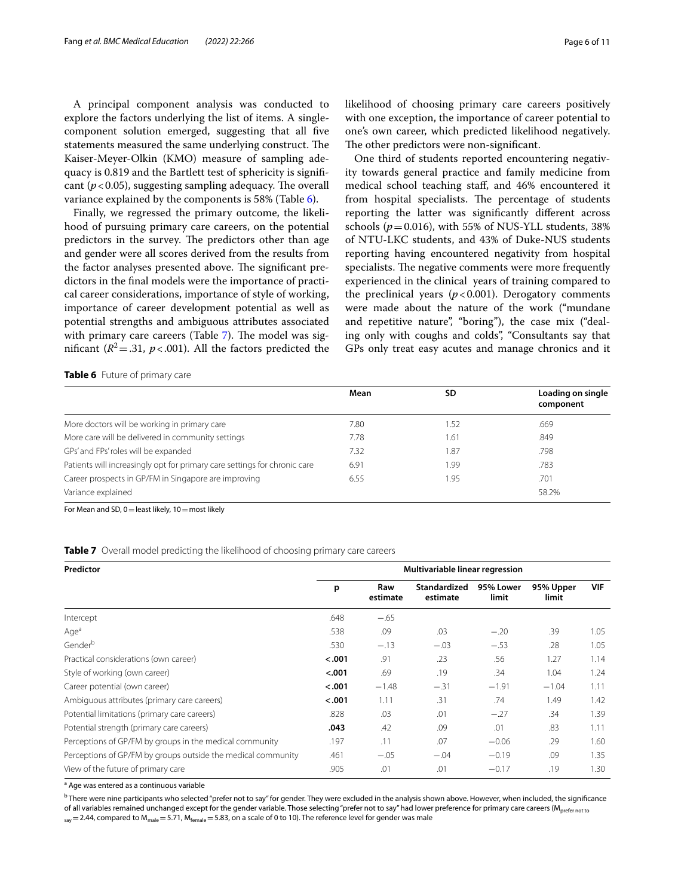A principal component analysis was conducted to explore the factors underlying the list of items. A singlecomponent solution emerged, suggesting that all fve statements measured the same underlying construct. The Kaiser-Meyer-Olkin (KMO) measure of sampling adequacy is 0.819 and the Bartlett test of sphericity is signifcant  $(p<0.05)$ , suggesting sampling adequacy. The overall variance explained by the components is 58% (Table [6\)](#page-5-0).

Finally, we regressed the primary outcome, the likelihood of pursuing primary care careers, on the potential predictors in the survey. The predictors other than age and gender were all scores derived from the results from the factor analyses presented above. The significant predictors in the fnal models were the importance of practical career considerations, importance of style of working, importance of career development potential as well as potential strengths and ambiguous attributes associated with primary care careers (Table [7\)](#page-5-1). The model was significant ( $R^2$ =.31,  $p$ <.001). All the factors predicted the likelihood of choosing primary care careers positively with one exception, the importance of career potential to one's own career, which predicted likelihood negatively. The other predictors were non-significant.

One third of students reported encountering negativity towards general practice and family medicine from medical school teaching staf, and 46% encountered it from hospital specialists. The percentage of students reporting the latter was signifcantly diferent across schools ( $p = 0.016$ ), with 55% of NUS-YLL students, 38% of NTU-LKC students, and 43% of Duke-NUS students reporting having encountered negativity from hospital specialists. The negative comments were more frequently experienced in the clinical years of training compared to the preclinical years  $(p<0.001)$ . Derogatory comments were made about the nature of the work ("mundane and repetitive nature", "boring"), the case mix ("dealing only with coughs and colds", "Consultants say that GPs only treat easy acutes and manage chronics and it

<span id="page-5-0"></span>**Table 6** Future of primary care

|                                                                           | Mean | SD   | Loading on single<br>component |
|---------------------------------------------------------------------------|------|------|--------------------------------|
| More doctors will be working in primary care                              | 7.80 | 1.52 | .669                           |
| More care will be delivered in community settings                         | 7.78 | 1.61 | .849                           |
| GPs' and FPs' roles will be expanded                                      | 7.32 | 1.87 | .798                           |
| Patients will increasingly opt for primary care settings for chronic care | 6.91 | .99  | .783                           |
| Career prospects in GP/FM in Singapore are improving                      | 6.55 | .95  | .701                           |
| Variance explained                                                        |      |      | 58.2%                          |

For Mean and SD,  $0 =$  least likely,  $10 =$  most likely

<span id="page-5-1"></span>

|  |  | Table 7 Overall model predicting the likelihood of choosing primary care careers |  |  |
|--|--|----------------------------------------------------------------------------------|--|--|
|  |  |                                                                                  |  |  |

| Predictor                                                    | Multivariable linear regression |                 |                          |                    |                    |            |  |  |
|--------------------------------------------------------------|---------------------------------|-----------------|--------------------------|--------------------|--------------------|------------|--|--|
|                                                              | p                               | Raw<br>estimate | Standardized<br>estimate | 95% Lower<br>limit | 95% Upper<br>limit | <b>VIF</b> |  |  |
| Intercept                                                    | .648                            | $-.65$          |                          |                    |                    |            |  |  |
| Aqe <sup>a</sup>                                             | .538                            | .09             | .03                      | $-.20$             | .39                | 1.05       |  |  |
| Genderb                                                      | .530                            | $-.13$          | $-.03$                   | $-.53$             | .28                | 1.05       |  |  |
| Practical considerations (own career)                        | $-.001$                         | .91             | .23                      | .56                | 1.27               | 1.14       |  |  |
| Style of working (own career)                                | < .001                          | .69             | .19                      | .34                | 1.04               | 1.24       |  |  |
| Career potential (own career)                                | $-.001$                         | $-1.48$         | $-.31$                   | $-1.91$            | $-1.04$            | 1.11       |  |  |
| Ambiguous attributes (primary care careers)                  | < .001                          | 1.11            | .31                      | .74                | 1.49               | 1.42       |  |  |
| Potential limitations (primary care careers)                 | .828                            | .03             | .01                      | $-.27$             | .34                | 1.39       |  |  |
| Potential strength (primary care careers)                    | .043                            | .42             | .09                      | .01                | .83                | 1.11       |  |  |
| Perceptions of GP/FM by groups in the medical community      | .197                            | .11             | .07                      | $-0.06$            | .29                | 1.60       |  |  |
| Perceptions of GP/FM by groups outside the medical community | .461                            | $-.05$          | $-.04$                   | $-0.19$            | .09                | 1.35       |  |  |
| View of the future of primary care                           | .905                            | .01             | .01                      | $-0.17$            | .19                | 1.30       |  |  |

<sup>a</sup> Age was entered as a continuous variable

<sup>b</sup> There were nine participants who selected "prefer not to say" for gender. They were excluded in the analysis shown above. However, when included, the significance of all variables remained unchanged except for the gender variable. Those selecting "prefer not to say" had lower preference for primary care careers (M<sub>prefer not to</sub>  $_{\text{cav}}$  = 2.44, compared to  $M_{\text{male}}$  = 5.71,  $M_{\text{female}}$  = 5.83, on a scale of 0 to 10). The reference level for gender was male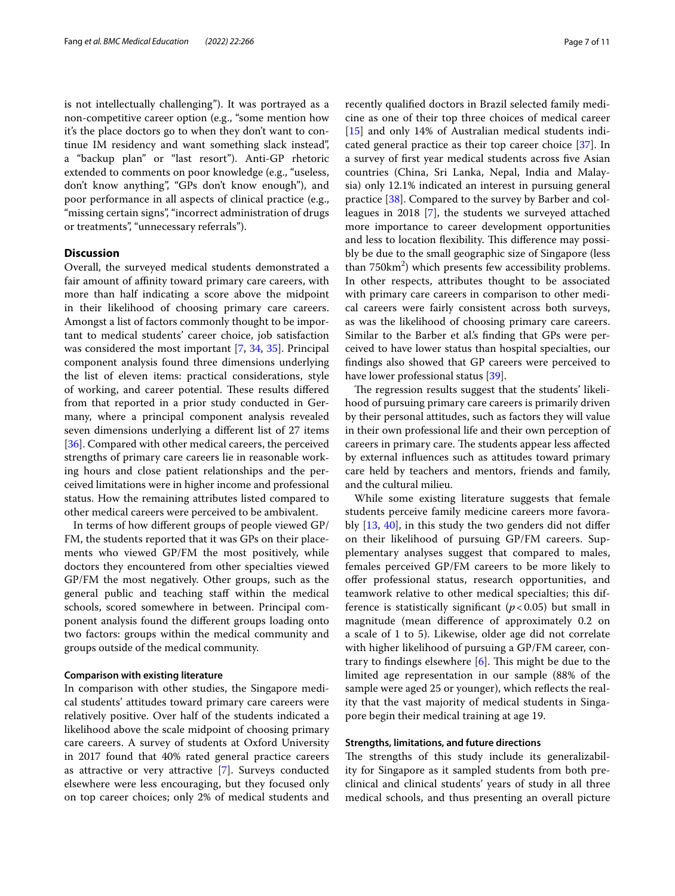is not intellectually challenging"). It was portrayed as a non-competitive career option (e.g., "some mention how it's the place doctors go to when they don't want to continue IM residency and want something slack instead", a "backup plan" or "last resort"). Anti-GP rhetoric extended to comments on poor knowledge (e.g., "useless, don't know anything", "GPs don't know enough"), and poor performance in all aspects of clinical practice (e.g., "missing certain signs", "incorrect administration of drugs or treatments", "unnecessary referrals").

# **Discussion**

Overall, the surveyed medical students demonstrated a fair amount of affinity toward primary care careers, with more than half indicating a score above the midpoint in their likelihood of choosing primary care careers. Amongst a list of factors commonly thought to be important to medical students' career choice, job satisfaction was considered the most important [\[7](#page-8-5), [34](#page-9-25), [35](#page-9-26)]. Principal component analysis found three dimensions underlying the list of eleven items: practical considerations, style of working, and career potential. These results differed from that reported in a prior study conducted in Germany, where a principal component analysis revealed seven dimensions underlying a diferent list of 27 items [[36\]](#page-9-27). Compared with other medical careers, the perceived strengths of primary care careers lie in reasonable working hours and close patient relationships and the perceived limitations were in higher income and professional status. How the remaining attributes listed compared to other medical careers were perceived to be ambivalent.

In terms of how diferent groups of people viewed GP/ FM, the students reported that it was GPs on their placements who viewed GP/FM the most positively, while doctors they encountered from other specialties viewed GP/FM the most negatively. Other groups, such as the general public and teaching staf within the medical schools, scored somewhere in between. Principal component analysis found the diferent groups loading onto two factors: groups within the medical community and groups outside of the medical community.

# **Comparison with existing literature**

In comparison with other studies, the Singapore medical students' attitudes toward primary care careers were relatively positive. Over half of the students indicated a likelihood above the scale midpoint of choosing primary care careers. A survey of students at Oxford University in 2017 found that 40% rated general practice careers as attractive or very attractive [[7](#page-8-5)]. Surveys conducted elsewhere were less encouraging, but they focused only on top career choices; only 2% of medical students and recently qualifed doctors in Brazil selected family medicine as one of their top three choices of medical career [[15\]](#page-9-6) and only 14% of Australian medical students indicated general practice as their top career choice [\[37](#page-9-28)]. In a survey of frst year medical students across fve Asian countries (China, Sri Lanka, Nepal, India and Malaysia) only 12.1% indicated an interest in pursuing general practice [\[38\]](#page-9-29). Compared to the survey by Barber and colleagues in 2018 [[7\]](#page-8-5), the students we surveyed attached more importance to career development opportunities and less to location flexibility. This difference may possibly be due to the small geographic size of Singapore (less than 750km<sup>2</sup>) which presents few accessibility problems. In other respects, attributes thought to be associated with primary care careers in comparison to other medical careers were fairly consistent across both surveys, as was the likelihood of choosing primary care careers. Similar to the Barber et al.'s fnding that GPs were perceived to have lower status than hospital specialties, our fndings also showed that GP careers were perceived to have lower professional status [[39\]](#page-9-30).

The regression results suggest that the students' likelihood of pursuing primary care careers is primarily driven by their personal attitudes, such as factors they will value in their own professional life and their own perception of careers in primary care. The students appear less affected by external infuences such as attitudes toward primary care held by teachers and mentors, friends and family, and the cultural milieu.

While some existing literature suggests that female students perceive family medicine careers more favorably  $[13, 40]$  $[13, 40]$  $[13, 40]$ , in this study the two genders did not differ on their likelihood of pursuing GP/FM careers. Supplementary analyses suggest that compared to males, females perceived GP/FM careers to be more likely to offer professional status, research opportunities, and teamwork relative to other medical specialties; this difference is statistically significant  $(p<0.05)$  but small in magnitude (mean diference of approximately 0.2 on a scale of 1 to 5). Likewise, older age did not correlate with higher likelihood of pursuing a GP/FM career, contrary to findings elsewhere  $[6]$  $[6]$ . This might be due to the limited age representation in our sample (88% of the sample were aged 25 or younger), which refects the reality that the vast majority of medical students in Singapore begin their medical training at age 19.

## **Strengths, limitations, and future directions**

The strengths of this study include its generalizability for Singapore as it sampled students from both preclinical and clinical students' years of study in all three medical schools, and thus presenting an overall picture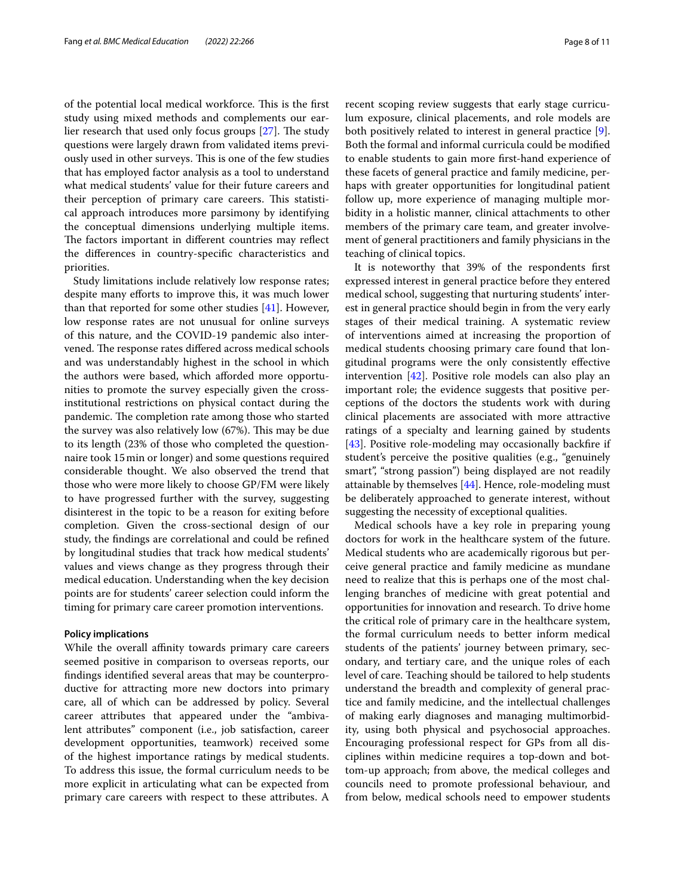of the potential local medical workforce. This is the first study using mixed methods and complements our earlier research that used only focus groups  $[27]$  $[27]$ . The study questions were largely drawn from validated items previously used in other surveys. This is one of the few studies that has employed factor analysis as a tool to understand what medical students' value for their future careers and their perception of primary care careers. This statistical approach introduces more parsimony by identifying the conceptual dimensions underlying multiple items. The factors important in different countries may reflect the diferences in country-specifc characteristics and priorities.

Study limitations include relatively low response rates; despite many efforts to improve this, it was much lower than that reported for some other studies [[41\]](#page-9-32). However, low response rates are not unusual for online surveys of this nature, and the COVID-19 pandemic also intervened. The response rates differed across medical schools and was understandably highest in the school in which the authors were based, which afforded more opportunities to promote the survey especially given the crossinstitutional restrictions on physical contact during the pandemic. The completion rate among those who started the survey was also relatively low (67%). This may be due to its length (23% of those who completed the questionnaire took 15min or longer) and some questions required considerable thought. We also observed the trend that those who were more likely to choose GP/FM were likely to have progressed further with the survey, suggesting disinterest in the topic to be a reason for exiting before completion. Given the cross-sectional design of our study, the fndings are correlational and could be refned by longitudinal studies that track how medical students' values and views change as they progress through their medical education. Understanding when the key decision points are for students' career selection could inform the timing for primary care career promotion interventions.

#### **Policy implications**

While the overall affinity towards primary care careers seemed positive in comparison to overseas reports, our fndings identifed several areas that may be counterproductive for attracting more new doctors into primary care, all of which can be addressed by policy. Several career attributes that appeared under the "ambivalent attributes" component (i.e., job satisfaction, career development opportunities, teamwork) received some of the highest importance ratings by medical students. To address this issue, the formal curriculum needs to be more explicit in articulating what can be expected from primary care careers with respect to these attributes. A recent scoping review suggests that early stage curriculum exposure, clinical placements, and role models are both positively related to interest in general practice [\[9](#page-9-0)]. Both the formal and informal curricula could be modifed to enable students to gain more frst-hand experience of these facets of general practice and family medicine, perhaps with greater opportunities for longitudinal patient follow up, more experience of managing multiple morbidity in a holistic manner, clinical attachments to other members of the primary care team, and greater involvement of general practitioners and family physicians in the teaching of clinical topics.

It is noteworthy that 39% of the respondents frst expressed interest in general practice before they entered medical school, suggesting that nurturing students' interest in general practice should begin in from the very early stages of their medical training. A systematic review of interventions aimed at increasing the proportion of medical students choosing primary care found that longitudinal programs were the only consistently efective intervention [\[42](#page-9-33)]. Positive role models can also play an important role; the evidence suggests that positive perceptions of the doctors the students work with during clinical placements are associated with more attractive ratings of a specialty and learning gained by students [[43\]](#page-9-34). Positive role-modeling may occasionally backfire if student's perceive the positive qualities (e.g., "genuinely smart", "strong passion") being displayed are not readily attainable by themselves [\[44](#page-9-35)]. Hence, role-modeling must be deliberately approached to generate interest, without suggesting the necessity of exceptional qualities.

Medical schools have a key role in preparing young doctors for work in the healthcare system of the future. Medical students who are academically rigorous but perceive general practice and family medicine as mundane need to realize that this is perhaps one of the most challenging branches of medicine with great potential and opportunities for innovation and research. To drive home the critical role of primary care in the healthcare system, the formal curriculum needs to better inform medical students of the patients' journey between primary, secondary, and tertiary care, and the unique roles of each level of care. Teaching should be tailored to help students understand the breadth and complexity of general practice and family medicine, and the intellectual challenges of making early diagnoses and managing multimorbidity, using both physical and psychosocial approaches. Encouraging professional respect for GPs from all disciplines within medicine requires a top-down and bottom-up approach; from above, the medical colleges and councils need to promote professional behaviour, and from below, medical schools need to empower students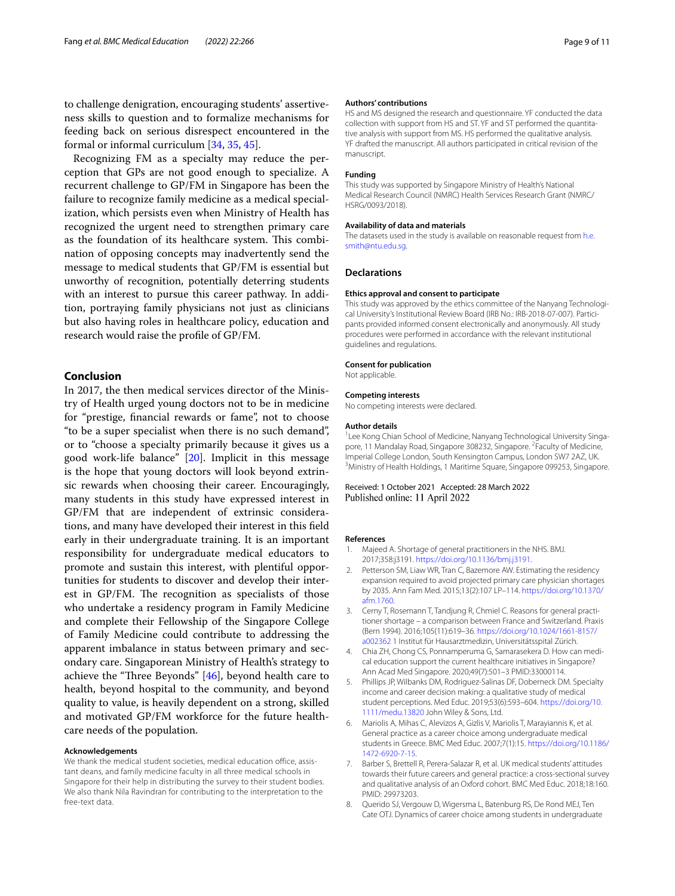to challenge denigration, encouraging students' assertiveness skills to question and to formalize mechanisms for feeding back on serious disrespect encountered in the formal or informal curriculum [\[34](#page-9-25), [35,](#page-9-26) [45\]](#page-10-0).

Recognizing FM as a specialty may reduce the perception that GPs are not good enough to specialize. A recurrent challenge to GP/FM in Singapore has been the failure to recognize family medicine as a medical specialization, which persists even when Ministry of Health has recognized the urgent need to strengthen primary care as the foundation of its healthcare system. This combination of opposing concepts may inadvertently send the message to medical students that GP/FM is essential but unworthy of recognition, potentially deterring students with an interest to pursue this career pathway. In addition, portraying family physicians not just as clinicians but also having roles in healthcare policy, education and research would raise the profle of GP/FM.

# **Conclusion**

In 2017, the then medical services director of the Ministry of Health urged young doctors not to be in medicine for "prestige, fnancial rewards or fame", not to choose "to be a super specialist when there is no such demand", or to "choose a specialty primarily because it gives us a good work-life balance" [\[20](#page-9-11)]. Implicit in this message is the hope that young doctors will look beyond extrinsic rewards when choosing their career. Encouragingly, many students in this study have expressed interest in GP/FM that are independent of extrinsic considerations, and many have developed their interest in this feld early in their undergraduate training. It is an important responsibility for undergraduate medical educators to promote and sustain this interest, with plentiful opportunities for students to discover and develop their interest in GP/FM. The recognition as specialists of those who undertake a residency program in Family Medicine and complete their Fellowship of the Singapore College of Family Medicine could contribute to addressing the apparent imbalance in status between primary and secondary care. Singaporean Ministry of Health's strategy to achieve the "Three Beyonds"  $[46]$  $[46]$ , beyond health care to health, beyond hospital to the community, and beyond quality to value, is heavily dependent on a strong, skilled and motivated GP/FM workforce for the future healthcare needs of the population.

#### **Acknowledgements**

We thank the medical student societies, medical education office, assistant deans, and family medicine faculty in all three medical schools in Singapore for their help in distributing the survey to their student bodies. We also thank Nila Ravindran for contributing to the interpretation to the free-text data.

#### **Authors' contributions**

HS and MS designed the research and questionnaire. YF conducted the data collection with support from HS and ST. YF and ST performed the quantitative analysis with support from MS. HS performed the qualitative analysis. YF drafted the manuscript. All authors participated in critical revision of the manuscript.

#### **Funding**

This study was supported by Singapore Ministry of Health's National Medical Research Council (NMRC) Health Services Research Grant (NMRC/ HSRG/0093/2018).

#### **Availability of data and materials**

The datasets used in the study is available on reasonable request from [h.e.](h.e.smith@ntu.edu.sg) [smith@ntu.edu.sg](h.e.smith@ntu.edu.sg).

# **Declarations**

#### **Ethics approval and consent to participate**

This study was approved by the ethics committee of the Nanyang Technological University's Institutional Review Board (IRB No.: IRB-2018-07-007). Participants provided informed consent electronically and anonymously. All study procedures were performed in accordance with the relevant institutional guidelines and regulations.

#### **Consent for publication**

Not applicable.

#### **Competing interests**

No competing interests were declared.

#### **Author details**

<sup>1</sup> Lee Kong Chian School of Medicine, Nanyang Technological University Singapore, 11 Mandalay Road, Singapore 308232, Singapore. <sup>2</sup> Faculty of Medicine, Imperial College London, South Kensington Campus, London SW7 2AZ, UK. 3 <sup>3</sup>Ministry of Health Holdings, 1 Maritime Square, Singapore 099253, Singapore.

## Received: 1 October 2021 Accepted: 28 March 2022 Published online: 11 April 2022

#### **References**

- <span id="page-8-0"></span>1. Majeed A. Shortage of general practitioners in the NHS. BMJ. 2017;358:j3191.<https://doi.org/10.1136/bmj.j3191>.
- 2. Petterson SM, Liaw WR, Tran C, Bazemore AW. Estimating the residency expansion required to avoid projected primary care physician shortages by 2035. Ann Fam Med. 2015;13(2):107 LP–114. [https://doi.org/10.1370/](https://doi.org/10.1370/afm.1760) [afm.1760](https://doi.org/10.1370/afm.1760).
- <span id="page-8-1"></span>3. Cerny T, Rosemann T, Tandjung R, Chmiel C. Reasons for general practitioner shortage – a comparison between France and Switzerland. Praxis (Bern 1994). 2016;105(11):619–36. [https://doi.org/10.1024/1661-8157/](https://doi.org/10.1024/1661-8157/a002362) [a002362](https://doi.org/10.1024/1661-8157/a002362) 1 Institut für Hausarztmedizin, Universitätsspital Zürich.
- <span id="page-8-2"></span>4. Chia ZH, Chong CS, Ponnamperuma G, Samarasekera D. How can medical education support the current healthcare initiatives in Singapore? Ann Acad Med Singapore. 2020;49(7):501–3 PMID:33000114.
- <span id="page-8-3"></span>5. Phillips JP, Wilbanks DM, Rodriguez-Salinas DF, Doberneck DM. Specialty income and career decision making: a qualitative study of medical student perceptions. Med Educ. 2019;53(6):593–604. [https://doi.org/10.](https://doi.org/10.1111/medu.13820) [1111/medu.13820](https://doi.org/10.1111/medu.13820) John Wiley & Sons, Ltd.
- <span id="page-8-4"></span>6. Mariolis A, Mihas C, Alevizos A, Gizlis V, Mariolis T, Marayiannis K, et al. General practice as a career choice among undergraduate medical students in Greece. BMC Med Educ. 2007;7(1):15. [https://doi.org/10.1186/](https://doi.org/10.1186/1472-6920-7-15) [1472-6920-7-15.](https://doi.org/10.1186/1472-6920-7-15)
- <span id="page-8-5"></span>7. Barber S, Brettell R, Perera-Salazar R, et al. UK medical students' attitudes towards their future careers and general practice: a cross-sectional survey and qualitative analysis of an Oxford cohort. BMC Med Educ. 2018;18:160. PMID: 29973203.
- <span id="page-8-6"></span>8. Querido SJ, Vergouw D, Wigersma L, Batenburg RS, De Rond MEJ, Ten Cate OTJ. Dynamics of career choice among students in undergraduate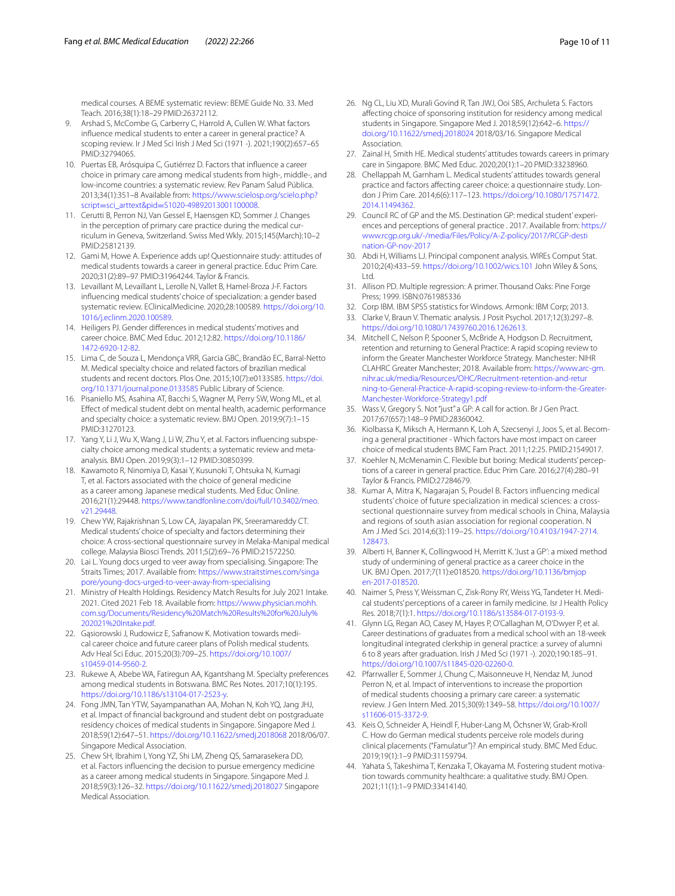medical courses. A BEME systematic review: BEME Guide No. 33. Med Teach. 2016;38(1):18–29 PMID:26372112.

- <span id="page-9-0"></span>9. Arshad S, McCombe G, Carberry C, Harrold A, Cullen W. What factors infuence medical students to enter a career in general practice? A scoping review. Ir J Med Sci Irish J Med Sci (1971 -). 2021;190(2):657–65 PMID:32794065.
- <span id="page-9-1"></span>10. Puertas EB, Arósquipa C, Gutiérrez D. Factors that infuence a career choice in primary care among medical students from high-, middle-, and low-income countries: a systematic review. Rev Panam Salud Pública. 2013;34(1):351–8 Available from: [https://www.scielosp.org/scielo.php?](https://www.scielosp.org/scielo.php?script=sci_arttext&pid=S1020-49892013001100008) script=sci\_arttext&pid=S1020-49892013001100008.
- <span id="page-9-2"></span>11. [Cerutti B, Perron NJ, Van Gessel E, Haensgen KD, Som](https://www.scielosp.org/scielo.php?script=sci_arttext&pid=S1020-49892013001100008)mer J. Changes in the perception of primary care practice during the medical curriculum in Geneva, Switzerland. Swiss Med Wkly. 2015;145(March):10–2 PMID:25812139.
- <span id="page-9-3"></span>12. Gami M, Howe A. Experience adds up! Questionnaire study: attitudes of medical students towards a career in general practice. Educ Prim Care. 2020;31(2):89–97 PMID:31964244. Taylor & Francis.
- <span id="page-9-4"></span>13. Levaillant M, Levaillant L, Lerolle N, Vallet B, Hamel-Broza J-F. Factors infuencing medical students' choice of specialization: a gender based systematic review. EClinicalMedicine. 2020;28:100589. [https://doi.org/10.](https://doi.org/10.1016/j.eclinm.2020.100589) [1016/j.eclinm.2020.100589](https://doi.org/10.1016/j.eclinm.2020.100589).
- <span id="page-9-5"></span>14. Heiligers PJ. Gender diferences in medical students' motives and career choice. BMC Med Educ. 2012;12:82. [https://doi.org/10.1186/](https://doi.org/10.1186/1472-6920-12-82) [1472-6920-12-82](https://doi.org/10.1186/1472-6920-12-82).
- <span id="page-9-6"></span>15. Lima C, de Souza L, Mendonça VRR, Garcia GBC, Brandão EC, Barral-Netto M. Medical specialty choice and related factors of brazilian medical students and recent doctors. Plos One. 2015;10(7):e0133585. [https://doi.](https://doi.org/10.1371/journal.pone.0133585) [org/10.1371/journal.pone.0133585](https://doi.org/10.1371/journal.pone.0133585) Public Library of Science.
- <span id="page-9-7"></span>16. Pisaniello MS, Asahina AT, Bacchi S, Wagner M, Perry SW, Wong ML, et al. Efect of medical student debt on mental health, academic performance and specialty choice: a systematic review. BMJ Open. 2019;9(7):1–15 PMID:31270123.
- <span id="page-9-8"></span>17. Yang Y, Li J, Wu X, Wang J, Li W, Zhu Y, et al. Factors infuencing subspecialty choice among medical students: a systematic review and metaanalysis. BMJ Open. 2019;9(3):1–12 PMID:30850399.
- <span id="page-9-9"></span>18. Kawamoto R, Ninomiya D, Kasai Y, Kusunoki T, Ohtsuka N, Kumagi T, et al. Factors associated with the choice of general medicine as a career among Japanese medical students. Med Educ Online. 2016;21(1):29448. [https://www.tandfonline.com/doi/full/10.3402/meo.](https://www.tandfonline.com/doi/full/10.3402/meo.v21.29448) [v21.29448](https://www.tandfonline.com/doi/full/10.3402/meo.v21.29448).
- <span id="page-9-10"></span>19. Chew YW, Rajakrishnan S, Low CA, Jayapalan PK, Sreeramareddy CT. Medical students' choice of specialty and factors determining their choice: A cross-sectional questionnaire survey in Melaka-Manipal medical college. Malaysia Biosci Trends. 2011;5(2):69–76 PMID:21572250.
- <span id="page-9-11"></span>20. Lai L. Young docs urged to veer away from specialising. Singapore: The Straits Times; 2017. Available from: [https://www.straitstimes.com/singa](https://www.straitstimes.com/singapore/young-docs-urged-to-veer-away-from-specialising) [pore/young-docs-urged-to-veer-away-from-specialising](https://www.straitstimes.com/singapore/young-docs-urged-to-veer-away-from-specialising)
- <span id="page-9-12"></span>21. Ministry of Health Holdings. Residency Match Results for July 2021 Intake. 2021. Cited 2021 Feb 18. Available from: [https://www.physician.mohh.](https://www.physician.mohh.com.sg/Documents/Residency%20Match%20Results%20for%20July%202021%20Intake.pdf) [com.sg/Documents/Residency%20Match%20Results%20for%20July%](https://www.physician.mohh.com.sg/Documents/Residency%20Match%20Results%20for%20July%202021%20Intake.pdf) [202021%20Intake.pdf](https://www.physician.mohh.com.sg/Documents/Residency%20Match%20Results%20for%20July%202021%20Intake.pdf).
- <span id="page-9-13"></span>22. Gąsiorowski J, Rudowicz E, Safranow K. Motivation towards medical career choice and future career plans of Polish medical students. Adv Heal Sci Educ. 2015;20(3):709–25. [https://doi.org/10.1007/](https://doi.org/10.1007/s10459-014-9560-2) [s10459-014-9560-2.](https://doi.org/10.1007/s10459-014-9560-2)
- <span id="page-9-14"></span>23. Rukewe A, Abebe WA, Fatiregun AA, Kgantshang M. Specialty preferences among medical students in Botswana. BMC Res Notes. 2017;10(1):195. [https://doi.org/10.1186/s13104-017-2523-y.](https://doi.org/10.1186/s13104-017-2523-y)
- <span id="page-9-15"></span>24. Fong JMN, Tan YTW, Sayampanathan AA, Mohan N, Koh YQ, Jang JHJ, et al. Impact of fnancial background and student debt on postgraduate residency choices of medical students in Singapore. Singapore Med J. 2018;59(12):647–51.<https://doi.org/10.11622/smedj.2018068> 2018/06/07. Singapore Medical Association.
- <span id="page-9-16"></span>25. Chew SH, Ibrahim I, Yong YZ, Shi LM, Zheng QS, Samarasekera DD, et al. Factors infuencing the decision to pursue emergency medicine as a career among medical students in Singapore. Singapore Med J. 2018;59(3):126–32. <https://doi.org/10.11622/smedj.2018027>Singapore Medical Association.
- <span id="page-9-17"></span>26. Ng CL, Liu XD, Murali Govind R, Tan JWJ, Ooi SBS, Archuleta S. Factors afecting choice of sponsoring institution for residency among medical students in Singapore. Singapore Med J. 2018;59(12):642–6. [https://](https://doi.org/10.11622/smedj.2018024) [doi.org/10.11622/smedj.2018024](https://doi.org/10.11622/smedj.2018024) 2018/03/16. Singapore Medical Association.
- <span id="page-9-18"></span>27. Zainal H, Smith HE. Medical students' attitudes towards careers in primary care in Singapore. BMC Med Educ. 2020;20(1):1–20 PMID:33238960.
- <span id="page-9-19"></span>28. Chellappah M, Garnham L. Medical students' attitudes towards general practice and factors afecting career choice: a questionnaire study. London J Prim Care. 2014;6(6):117–123. [https://doi.org/10.1080/17571472.](https://doi.org/10.1080/17571472.2014.11494362) [2014.11494362.](https://doi.org/10.1080/17571472.2014.11494362)
- <span id="page-9-20"></span>29. Council RC of GP and the MS. Destination GP: medical student' experiences and perceptions of general practice . 2017. Available from: [https://](https://www.rcgp.org.uk/-/media/Files/Policy/A-Z-policy/2017/RCGP-destination-GP-nov-2017) [www.rcgp.org.uk/-/media/Files/Policy/A-Z-policy/2017/RCGP-desti](https://www.rcgp.org.uk/-/media/Files/Policy/A-Z-policy/2017/RCGP-destination-GP-nov-2017) [nation-GP-nov-2017](https://www.rcgp.org.uk/-/media/Files/Policy/A-Z-policy/2017/RCGP-destination-GP-nov-2017)
- <span id="page-9-21"></span>30. Abdi H, Williams LJ. Principal component analysis. WIREs Comput Stat. 2010;2(4):433–59.<https://doi.org/10.1002/wics.101> John Wiley & Sons, Ltd.
- <span id="page-9-22"></span>31. Allison PD. Multiple regression: A primer. Thousand Oaks: Pine Forge Press; 1999. ISBN:0761985336
- <span id="page-9-23"></span>32. Corp IBM. IBM SPSS statistics for Windows. Armonk: IBM Corp; 2013.
- <span id="page-9-24"></span>33. Clarke V, Braun V. Thematic analysis. J Posit Psychol. 2017;12(3):297–8. [https://doi.org/10.1080/17439760.2016.1262613.](https://doi.org/10.1080/17439760.2016.1262613)
- <span id="page-9-25"></span>34. Mitchell C, Nelson P, Spooner S, McBride A, Hodgson D. Recruitment, retention and returning to General Practice: A rapid scoping review to inform the Greater Manchester Workforce Strategy. Manchester: NIHR CLAHRC Greater Manchester; 2018. Available from: [https://www.arc-gm.](https://www.arc-gm.nihr.ac.uk/media/Resources/OHC/Recruitment-retention-and-returning-to-General-Practice-A-rapid-scoping-review-to-inform-the-Greater-Manchester-Workforce-Strategy1.pdf) [nihr.ac.uk/media/Resources/OHC/Recruitment-retention-and-retur](https://www.arc-gm.nihr.ac.uk/media/Resources/OHC/Recruitment-retention-and-returning-to-General-Practice-A-rapid-scoping-review-to-inform-the-Greater-Manchester-Workforce-Strategy1.pdf) [ning-to-General-Practice-A-rapid-scoping-review-to-inform-the-Greater-](https://www.arc-gm.nihr.ac.uk/media/Resources/OHC/Recruitment-retention-and-returning-to-General-Practice-A-rapid-scoping-review-to-inform-the-Greater-Manchester-Workforce-Strategy1.pdf)[Manchester-Workforce-Strategy1.pdf](https://www.arc-gm.nihr.ac.uk/media/Resources/OHC/Recruitment-retention-and-returning-to-General-Practice-A-rapid-scoping-review-to-inform-the-Greater-Manchester-Workforce-Strategy1.pdf)
- <span id="page-9-26"></span>35. Wass V, Gregory S. Not "just" a GP: A call for action. Br J Gen Pract. 2017;67(657):148–9 PMID:28360042.
- <span id="page-9-27"></span>36. Kiolbassa K, Miksch A, Hermann K, Loh A, Szecsenyi J, Joos S, et al. Becoming a general practitioner - Which factors have most impact on career choice of medical students BMC Fam Pract. 2011;12:25. PMID:21549017.
- <span id="page-9-28"></span>37. Koehler N, McMenamin C. Flexible but boring: Medical students' perceptions of a career in general practice. Educ Prim Care. 2016;27(4):280–91 Taylor & Francis. PMID:27284679.
- <span id="page-9-29"></span>38. Kumar A, Mitra K, Nagarajan S, Poudel B. Factors infuencing medical students' choice of future specialization in medical sciences: a crosssectional questionnaire survey from medical schools in China, Malaysia and regions of south asian association for regional cooperation. N Am J Med Sci. 2014;6(3):119–25. [https://doi.org/10.4103/1947-2714.](https://doi.org/10.4103/1947-2714.128473) [128473](https://doi.org/10.4103/1947-2714.128473).
- <span id="page-9-30"></span>39. Alberti H, Banner K, Collingwood H, Merritt K. 'Just a GP': a mixed method study of undermining of general practice as a career choice in the UK. BMJ Open. 2017;7(11):e018520. [https://doi.org/10.1136/bmjop](https://doi.org/10.1136/bmjopen-2017-018520) [en-2017-018520](https://doi.org/10.1136/bmjopen-2017-018520).
- <span id="page-9-31"></span>40. Naimer S, Press Y, Weissman C, Zisk-Rony RY, Weiss YG, Tandeter H. Medical students' perceptions of a career in family medicine. Isr J Health Policy Res. 2018;7(1):1. [https://doi.org/10.1186/s13584-017-0193-9.](https://doi.org/10.1186/s13584-017-0193-9)
- <span id="page-9-32"></span>41. Glynn LG, Regan AO, Casey M, Hayes P, O'Callaghan M, O'Dwyer P, et al. Career destinations of graduates from a medical school with an 18-week longitudinal integrated clerkship in general practice: a survey of alumni 6 to 8 years after graduation. Irish J Med Sci (1971 -). 2020;190:185–91. <https://doi.org/10.1007/s11845-020-02260-0>.
- <span id="page-9-33"></span>42. Pfarrwaller E, Sommer J, Chung C, Maisonneuve H, Nendaz M, Junod Perron N, et al. Impact of interventions to increase the proportion of medical students choosing a primary care career: a systematic review. J Gen Intern Med. 2015;30(9):1349–58. [https://doi.org/10.1007/](https://doi.org/10.1007/s11606-015-3372-9) [s11606-015-3372-9.](https://doi.org/10.1007/s11606-015-3372-9)
- <span id="page-9-34"></span>43. Keis O, Schneider A, Heindl F, Huber-Lang M, Öchsner W, Grab-Kroll C. How do German medical students perceive role models during clinical placements ("Famulatur")? An empirical study. BMC Med Educ. 2019;19(1):1–9 PMID:31159794.
- <span id="page-9-35"></span>44. Yahata S, Takeshima T, Kenzaka T, Okayama M. Fostering student motivation towards community healthcare: a qualitative study. BMJ Open. 2021;11(1):1–9 PMID:33414140.